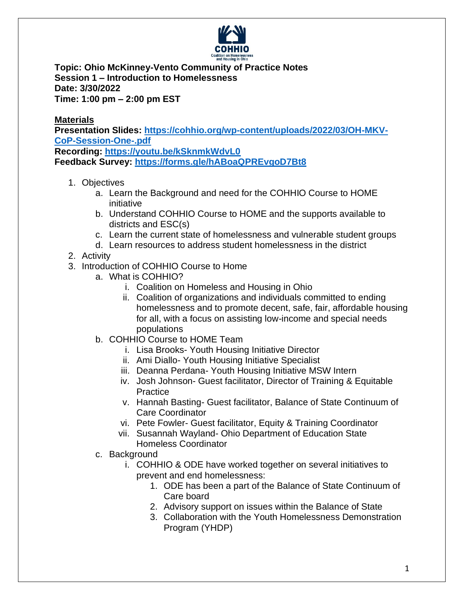

**Topic: Ohio McKinney-Vento Community of Practice Notes Session 1 – Introduction to Homelessness Date: 3/30/2022 Time: 1:00 pm – 2:00 pm EST**

**Materials Presentation Slides: [https://cohhio.org/wp-content/uploads/2022/03/OH-MKV-](https://cohhio.org/wp-content/uploads/2022/03/OH-MKV-CoP-Session-One-.pdf)[CoP-Session-One-.pdf](https://cohhio.org/wp-content/uploads/2022/03/OH-MKV-CoP-Session-One-.pdf) Recording: <https://youtu.be/kSknmkWdvL0>**

**Feedback Survey: <https://forms.gle/hABoaQPREvgoD7Bt8>**

- 1. Objectives
	- a. Learn the Background and need for the COHHIO Course to HOME initiative
	- b. Understand COHHIO Course to HOME and the supports available to districts and ESC(s)
	- c. Learn the current state of homelessness and vulnerable student groups
	- d. Learn resources to address student homelessness in the district
- 2. Activity
- 3. Introduction of COHHIO Course to Home
	- a. What is COHHIO?
		- i. Coalition on Homeless and Housing in Ohio
		- ii. Coalition of organizations and individuals committed to ending homelessness and to promote decent, safe, fair, affordable housing for all, with a focus on assisting low-income and special needs populations
	- b. COHHIO Course to HOME Team
		- i. Lisa Brooks- Youth Housing Initiative Director
		- ii. Ami Diallo- Youth Housing Initiative Specialist
		- iii. Deanna Perdana- Youth Housing Initiative MSW Intern
		- iv. Josh Johnson- Guest facilitator, Director of Training & Equitable **Practice**
		- v. Hannah Basting- Guest facilitator, Balance of State Continuum of Care Coordinator
		- vi. Pete Fowler- Guest facilitator, Equity & Training Coordinator
		- vii. Susannah Wayland- Ohio Department of Education State Homeless Coordinator
	- c. Background
		- i. COHHIO & ODE have worked together on several initiatives to prevent and end homelessness:
			- 1. ODE has been a part of the Balance of State Continuum of Care board
			- 2. Advisory support on issues within the Balance of State
			- 3. Collaboration with the Youth Homelessness Demonstration Program (YHDP)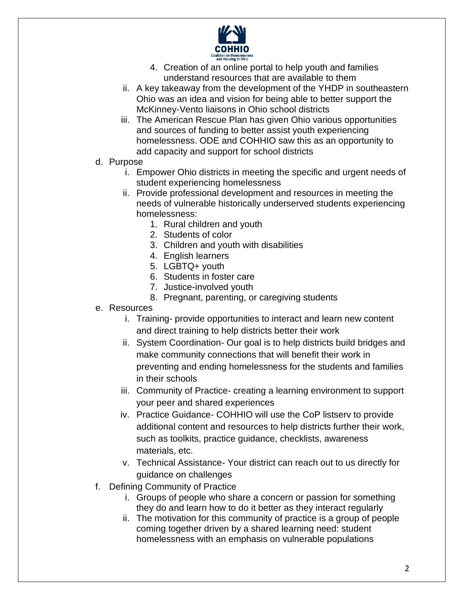

- 4. Creation of an online portal to help youth and families understand resources that are available to them
- ii. A key takeaway from the development of the YHDP in southeastern Ohio was an idea and vision for being able to better support the McKinney-Vento liaisons in Ohio school districts
- iii. The American Rescue Plan has given Ohio various opportunities and sources of funding to better assist youth experiencing homelessness. ODE and COHHIO saw this as an opportunity to add capacity and support for school districts
- d. Purpose
	- i. Empower Ohio districts in meeting the specific and urgent needs of student experiencing homelessness
	- ii. Provide professional development and resources in meeting the needs of vulnerable historically underserved students experiencing homelessness:
		- 1. Rural children and youth
		- 2. Students of color
		- 3. Children and youth with disabilities
		- 4. English learners
		- 5. LGBTQ+ youth
		- 6. Students in foster care
		- 7. Justice-involved youth
		- 8. Pregnant, parenting, or caregiving students
- e. Resources
	- i. Training- provide opportunities to interact and learn new content and direct training to help districts better their work
	- ii. System Coordination- Our goal is to help districts build bridges and make community connections that will benefit their work in preventing and ending homelessness for the students and families in their schools
	- iii. Community of Practice- creating a learning environment to support your peer and shared experiences
	- iv. Practice Guidance- COHHIO will use the CoP listserv to provide additional content and resources to help districts further their work, such as toolkits, practice guidance, checklists, awareness materials, etc.
	- v. Technical Assistance- Your district can reach out to us directly for guidance on challenges
- f. Defining Community of Practice
	- i. Groups of people who share a concern or passion for something they do and learn how to do it better as they interact regularly
	- ii. The motivation for this community of practice is a group of people coming together driven by a shared learning need: student homelessness with an emphasis on vulnerable populations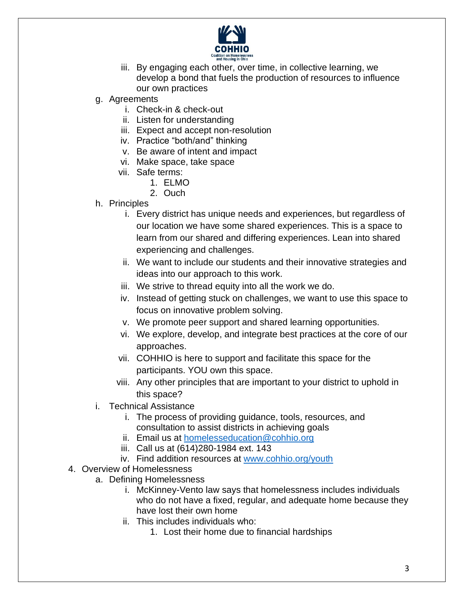

- iii. By engaging each other, over time, in collective learning, we develop a bond that fuels the production of resources to influence our own practices
- g. Agreements
	- i. Check-in & check-out
	- ii. Listen for understanding
	- iii. Expect and accept non-resolution
	- iv. Practice "both/and" thinking
	- v. Be aware of intent and impact
	- vi. Make space, take space
	- vii. Safe terms:
		- 1. ELMO
		- 2. Ouch
- h. Principles
	- i. Every district has unique needs and experiences, but regardless of our location we have some shared experiences. This is a space to learn from our shared and differing experiences. Lean into shared experiencing and challenges.
	- ii. We want to include our students and their innovative strategies and ideas into our approach to this work.
	- iii. We strive to thread equity into all the work we do.
	- iv. Instead of getting stuck on challenges, we want to use this space to focus on innovative problem solving.
	- v. We promote peer support and shared learning opportunities.
	- vi. We explore, develop, and integrate best practices at the core of our approaches.
	- vii. COHHIO is here to support and facilitate this space for the participants. YOU own this space.
	- viii. Any other principles that are important to your district to uphold in this space?
- i. Technical Assistance
	- i. The process of providing guidance, tools, resources, and consultation to assist districts in achieving goals
	- ii. Email us at [homelesseducation@cohhio.org](mailto:homelesseducation@cohhio.org)
	- iii. Call us at (614)280-1984 ext. 143
	- iv. Find addition resources at [www.cohhio.org/youth](http://www.cohhio.org/youth)
- 4. Overview of Homelessness
	- a. Defining Homelessness
		- i. McKinney-Vento law says that homelessness includes individuals who do not have a fixed, regular, and adequate home because they have lost their own home
		- ii. This includes individuals who:
			- 1. Lost their home due to financial hardships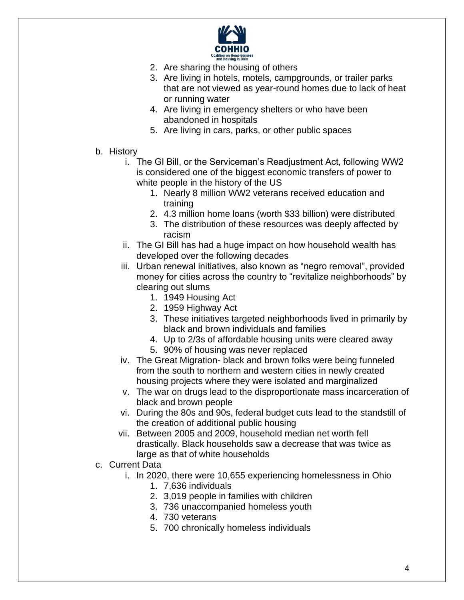

- 2. Are sharing the housing of others
- 3. Are living in hotels, motels, campgrounds, or trailer parks that are not viewed as year-round homes due to lack of heat or running water
- 4. Are living in emergency shelters or who have been abandoned in hospitals
- 5. Are living in cars, parks, or other public spaces
- b. History
	- i. The GI Bill, or the Serviceman's Readjustment Act, following WW2 is considered one of the biggest economic transfers of power to white people in the history of the US
		- 1. Nearly 8 million WW2 veterans received education and training
		- 2. 4.3 million home loans (worth \$33 billion) were distributed
		- 3. The distribution of these resources was deeply affected by racism
	- ii. The GI Bill has had a huge impact on how household wealth has developed over the following decades
	- iii. Urban renewal initiatives, also known as "negro removal", provided money for cities across the country to "revitalize neighborhoods" by clearing out slums
		- 1. 1949 Housing Act
		- 2. 1959 Highway Act
		- 3. These initiatives targeted neighborhoods lived in primarily by black and brown individuals and families
		- 4. Up to 2/3s of affordable housing units were cleared away 5. 90% of housing was never replaced
	- iv. The Great Migration- black and brown folks were being funneled from the south to northern and western cities in newly created housing projects where they were isolated and marginalized
	- v. The war on drugs lead to the disproportionate mass incarceration of black and brown people
	- vi. During the 80s and 90s, federal budget cuts lead to the standstill of the creation of additional public housing
	- vii. Between 2005 and 2009, household median net worth fell drastically. Black households saw a decrease that was twice as large as that of white households
- c. Current Data
	- i. In 2020, there were 10,655 experiencing homelessness in Ohio
		- 1. 7,636 individuals
		- 2. 3,019 people in families with children
		- 3. 736 unaccompanied homeless youth
		- 4. 730 veterans
		- 5. 700 chronically homeless individuals